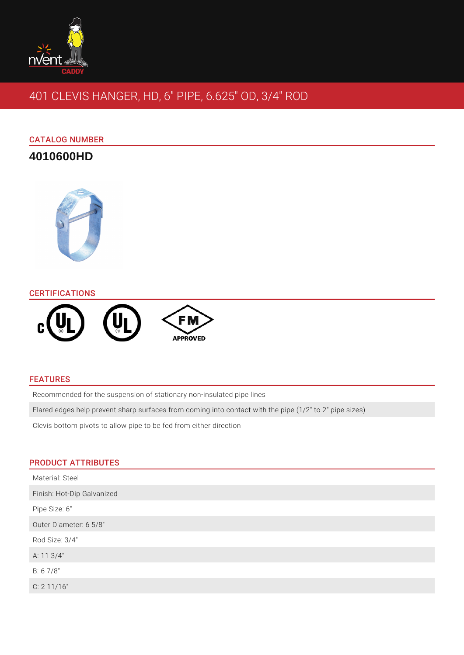

# 401 CLEVIS HANGER, HD, 6" PIPE, 6.625" OD, 3/4" ROD

# CATALOG NUMBER

# **4010600HD**



#### **CERTIFICATIONS**



## FEATURES

Recommended for the suspension of stationary non-insulated pipe lines

Flared edges help prevent sharp surfaces from coming into contact with the pipe (1/2" to 2" pipe sizes)

Clevis bottom pivots to allow pipe to be fed from either direction

#### PRODUCT ATTRIBUTES

| Material: Steel            |
|----------------------------|
| Finish: Hot-Dip Galvanized |
| Pipe Size: 6"              |
| Outer Diameter: 6 5/8"     |
| Rod Size: 3/4"             |
| A: 11 3/4"                 |
| B: 6 7/8"                  |
| C: 211/16"                 |